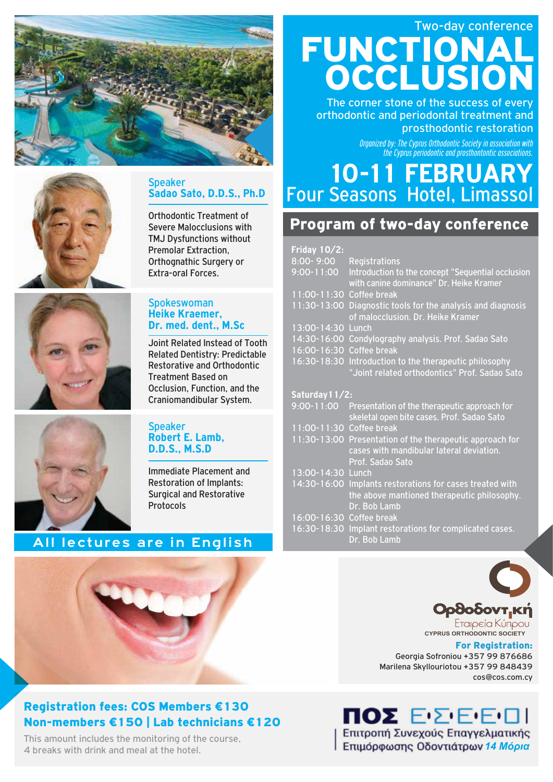



## Speaker **Sadao Sato, D.D.S., Ph.D**

Orthodontic Treatment of Severe Malocclusions with TMJ Dysfunctions without Premolar Extraction, Orthognathic Surgery or Extra-oral Forces.



#### Spokeswoman **Heike Kraemer, Dr. med. dent., M.Sc**

Joint Related Instead of Tooth Related Dentistry: Predictable Restorative and Orthodontic Treatment Based on Occlusion, Function, and the Craniomandibular System.

### Speaker **Robert E. Lamb, D.D.S., M.S.D**

Immediate Placement and Restoration of Implants: Surgical and Restorative Protocols

# **All lectures are in English**



## Registration fees: COS Members €130 Non-members €150 | Lab technicians €120

This amount includes the monitoring of the course, 4 breaks with drink and meal at the hotel.

# Two-day conference FUNCTIONAL OCCLUSION

The corner stone of the success of every orthodontic and periodontal treatment and prosthodontic restoration

> *Organized by: The Cyprus Orthodontic Society in association with the Cyprus periodontic and prosthontontic associations.*

# Four Seasons Hotel, Limassol **10-11 FEBRUARY**

# Program of two-day conference

| Friday $10/2$ :          |                                                                                                                          |
|--------------------------|--------------------------------------------------------------------------------------------------------------------------|
| 8:00-9:00                | <b>Registrations</b>                                                                                                     |
| $9:00 - 11:00$           | Introduction to the concept "Sequential occlusion<br>with canine dominance" Dr. Heike Kramer                             |
| 11:00-11:30 Coffee break |                                                                                                                          |
|                          | 11:30-13:00 Diagnostic tools for the analysis and diagnosis<br>of malocclusion. Dr. Heike Kramer                         |
| 13:00-14:30 Lunch        |                                                                                                                          |
| 14:30-16:00              | Condylography analysis. Prof. Sadao Sato                                                                                 |
| 16:00-16:30              | <b>Coffee break</b>                                                                                                      |
|                          | 16:30-18:30 Introduction to the therapeutic philosophy<br>"Joint related orthodontics" Prof. Sadao Sato                  |
| Saturday 11/2:           |                                                                                                                          |
| $9:00 - 11:00$           | Presentation of the therapeutic approach for<br>skeletal open bite cases. Prof. Sadao Sato                               |
| 11:00-11:30 Coffee break |                                                                                                                          |
|                          | 11:30-13:00 Presentation of the therapeutic approach for<br>cases with mandibular lateral deviation.<br>Prof. Sadao Sato |
| 13:00-14:30 Lunch        |                                                                                                                          |
|                          | 14:30-16:00 Implants restorations for cases treated with<br>the above mantioned therapeutic philosophy.<br>Dr. Bob Lamb  |
| 16:00-16:30 Coffee break |                                                                                                                          |
|                          | 16:30-18:30 Implant restorations for complicated cases.<br>Dr. Bob Lamb                                                  |
|                          |                                                                                                                          |



**OodooovT.KI** Etaipeía Kúripou

**CYPRUS ORTHODONTIC SOCIETY**

#### For Registration:

Georgia Sofroniou +357 99 876686 Marilena Skyllouriotou +357 99 848439 cos@cos.com.cy

**ΠΟΣ ΕΣΕΕΠΙ** Επιτροπή Συνεχούς Επαγγελματικής *14 Μόρια*